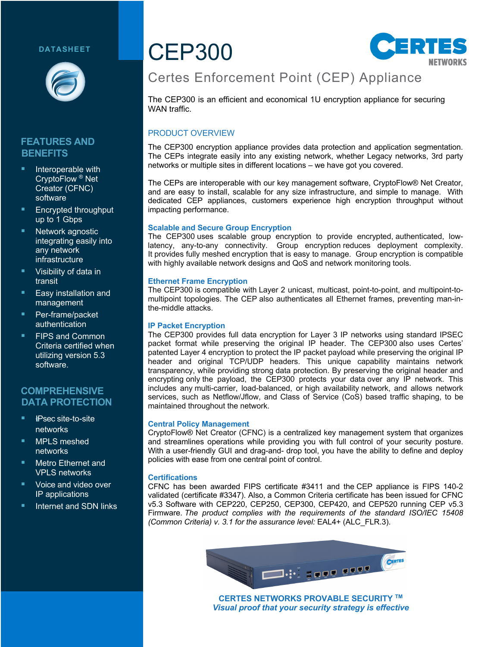### **DATASHEET**



# **FEATURES AND BENEFITS**

- Interoperable with CryptoFlow ® Net Creator (CFNC) software
- § Encrypted throughput up to 1 Gbps
- Network agnostic integrating easily into any network infrastructure
- § Visibility of data in transit
- § Easy installation and management
- § Per-frame/packet authentication
- § FIPS and Common Criteria certified when utilizing version 5.3 software.

### **COMPREHENSIVE DATA PROTECTION**

- § !*I*IPsec site-to-site networks
- § MPLS meshed networks
- § Metro Ethernet and VPLS networks
- Voice and video over IP applications
- **E** Internet and SDN links

# CEP300



# Certes Enforcement Point (CEP) Appliance

The CEP300 is an efficient and economical 1U encryption appliance for securing WAN traffic.

### PRODUCT OVERVIEW

The CEP300 encryption appliance provides data protection and application segmentation. The CEPs integrate easily into any existing network, whether Legacy networks, 3rd party networks or multiple sites in different locations – we have got you covered.

The CEPs are interoperable with our key management software, CryptoFlow® Net Creator, and are easy to install, scalable for any size infrastructure, and simple to manage. With dedicated CEP appliances, customers experience high encryption throughput without impacting performance.

### **Scalable and Secure Group Encryption**

The CEP300 uses scalable group encryption to provide encrypted, authenticated, lowlatency, any-to-any connectivity. Group encryption reduces deployment complexity. It provides fully meshed encryption that is easy to manage. Group encryption is compatible with highly available network designs and QoS and network monitoring tools.

### **Ethernet Frame Encryption**

The CEP300 is compatible with Layer 2 unicast, multicast, point-to-point, and multipoint-tomultipoint topologies. The CEP also authenticates all Ethernet frames, preventing man-inthe-middle attacks.

### **IP Packet Encryption**

The CEP300 provides full data encryption for Layer 3 IP networks using standard IPSEC packet format while preserving the original IP header. The CEP300 also uses Certes' patented Layer 4 encryption to protect the IP packet payload while preserving the original IP header and original TCP/UDP headers. This unique capability maintains network transparency, while providing strong data protection. By preserving the original header and encrypting only the payload, the CEP300 protects your data over any IP network. This includes any multi-carrier, load-balanced, or high availability network, and allows network services, such as Netflow/Jflow, and Class of Service (CoS) based traffic shaping, to be maintained throughout the network.

#### **Central Policy Management**

CryptoFlow® Net Creator (CFNC) is a centralized key management system that organizes and streamlines operations while providing you with full control of your security posture. With a user-friendly GUI and drag-and- drop tool, you have the ability to define and deploy policies with ease from one central point of control.

#### **Certifications**

CFNC has been awarded FIPS certificate #3411 and the CEP appliance is FIPS 140-2 validated (certificate #3347). Also, a Common Criteria certificate has been issued for CFNC v5.3 Software with CEP220, CEP250, CEP300, CEP420, and CEP520 running CEP v5.3 Firmware. *The product complies with the requirements of the standard ISO/IEC 15408 (Common Criteria) v. 3.1 for the assurance level:* EAL4+ (ALC\_FLR.3).



**CERTES NETWORKS PROVABLE SECURITY TM** *Visual proof that your security strategy is effective*